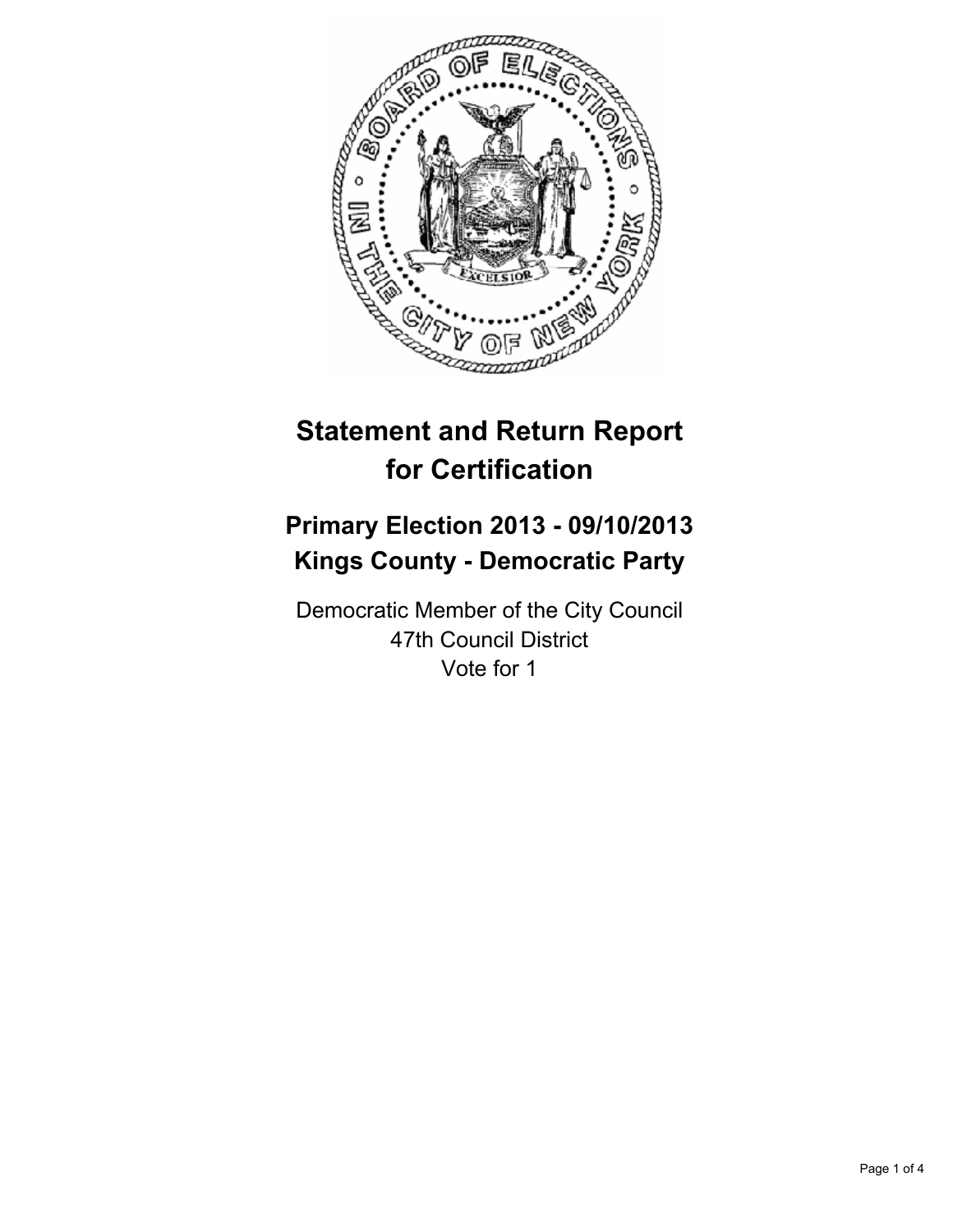

# **Statement and Return Report for Certification**

## **Primary Election 2013 - 09/10/2013 Kings County - Democratic Party**

Democratic Member of the City Council 47th Council District Vote for 1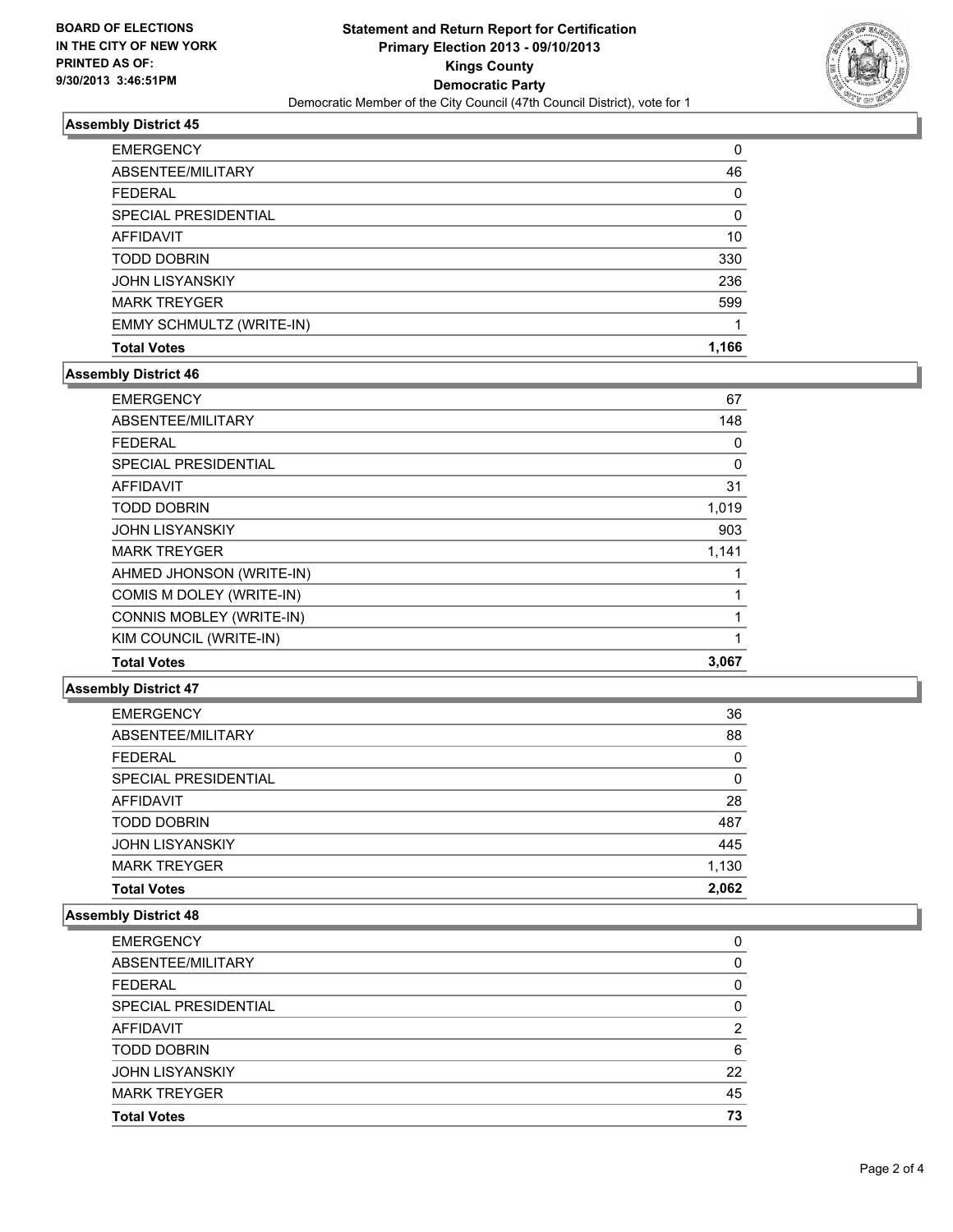

## **Assembly District 45**

| <b>EMERGENCY</b>         | 0     |
|--------------------------|-------|
| ABSENTEE/MILITARY        | 46    |
| <b>FEDERAL</b>           | 0     |
| SPECIAL PRESIDENTIAL     | 0     |
| <b>AFFIDAVIT</b>         | 10    |
| <b>TODD DOBRIN</b>       | 330   |
| <b>JOHN LISYANSKIY</b>   | 236   |
| <b>MARK TREYGER</b>      | 599   |
| EMMY SCHMULTZ (WRITE-IN) |       |
| <b>Total Votes</b>       | 1,166 |

#### **Assembly District 46**

| <b>EMERGENCY</b>         | 67       |
|--------------------------|----------|
| ABSENTEE/MILITARY        | 148      |
| <b>FEDERAL</b>           | 0        |
| SPECIAL PRESIDENTIAL     | $\Omega$ |
| AFFIDAVIT                | 31       |
| <b>TODD DOBRIN</b>       | 1,019    |
| <b>JOHN LISYANSKIY</b>   | 903      |
| <b>MARK TREYGER</b>      | 1,141    |
| AHMED JHONSON (WRITE-IN) |          |
| COMIS M DOLEY (WRITE-IN) |          |
| CONNIS MOBLEY (WRITE-IN) |          |
| KIM COUNCIL (WRITE-IN)   |          |
| <b>Total Votes</b>       | 3,067    |

## **Assembly District 47**

| <b>EMERGENCY</b>       | 36    |
|------------------------|-------|
| ABSENTEE/MILITARY      | 88    |
| <b>FEDERAL</b>         | 0     |
| SPECIAL PRESIDENTIAL   | 0     |
| <b>AFFIDAVIT</b>       | 28    |
| <b>TODD DOBRIN</b>     | 487   |
| <b>JOHN LISYANSKIY</b> | 445   |
| <b>MARK TREYGER</b>    | 1,130 |
| <b>Total Votes</b>     | 2.062 |

## **Assembly District 48**

| <b>JOHN LISYANSKIY</b>          | 22     |
|---------------------------------|--------|
| AFFIDAVIT<br><b>TODD DOBRIN</b> | 2<br>6 |
| SPECIAL PRESIDENTIAL            | 0      |
| <b>FEDERAL</b>                  | 0      |
| ABSENTEE/MILITARY               | 0      |
| <b>EMERGENCY</b>                | 0      |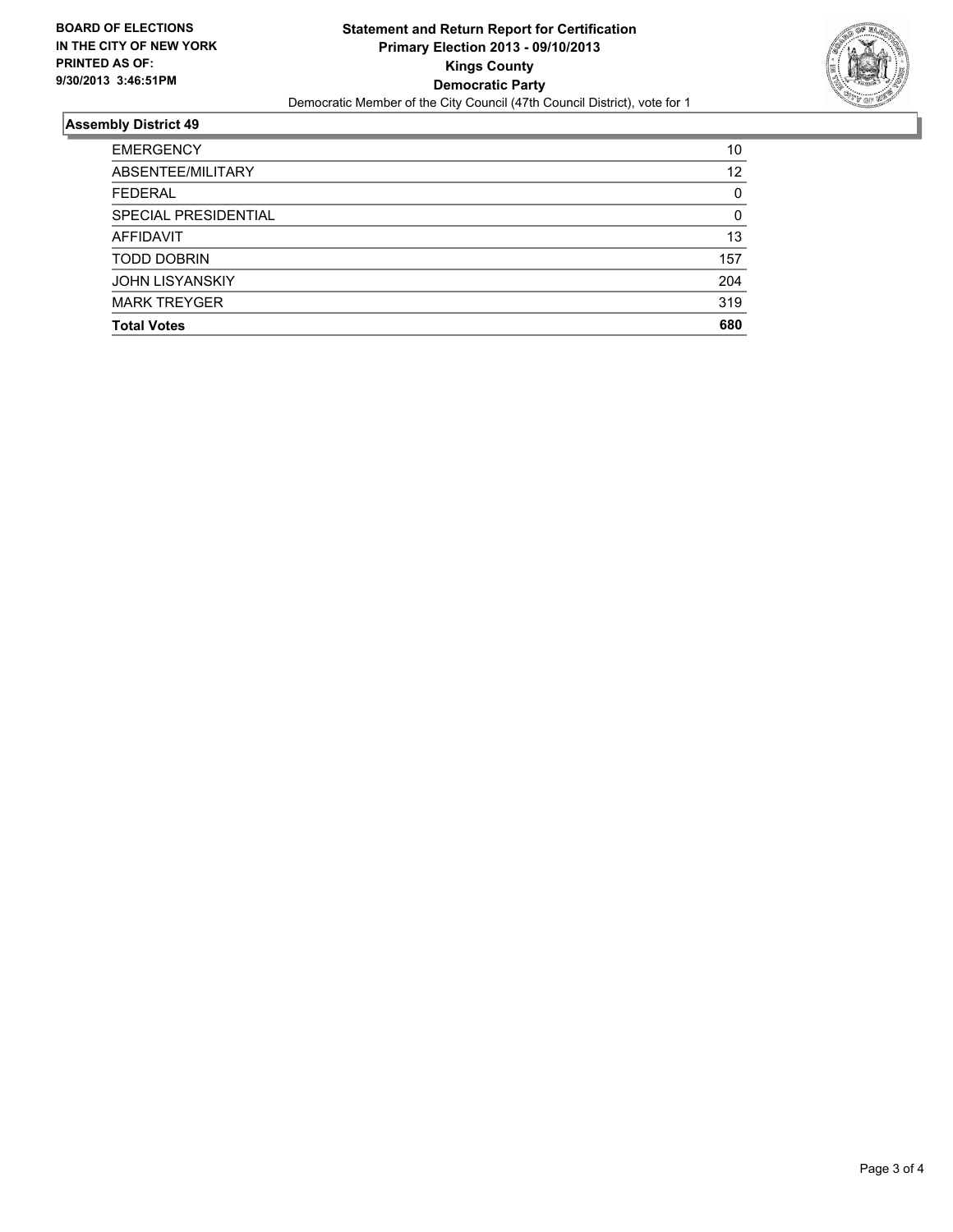

## **Assembly District 49**

| <b>EMERGENCY</b>       | 10       |
|------------------------|----------|
| ABSENTEE/MILITARY      | 12       |
| <b>FEDERAL</b>         | 0        |
| SPECIAL PRESIDENTIAL   | $\Omega$ |
| AFFIDAVIT              | 13       |
| <b>TODD DOBRIN</b>     | 157      |
| <b>JOHN LISYANSKIY</b> | 204      |
| <b>MARK TREYGER</b>    | 319      |
| <b>Total Votes</b>     | 680      |